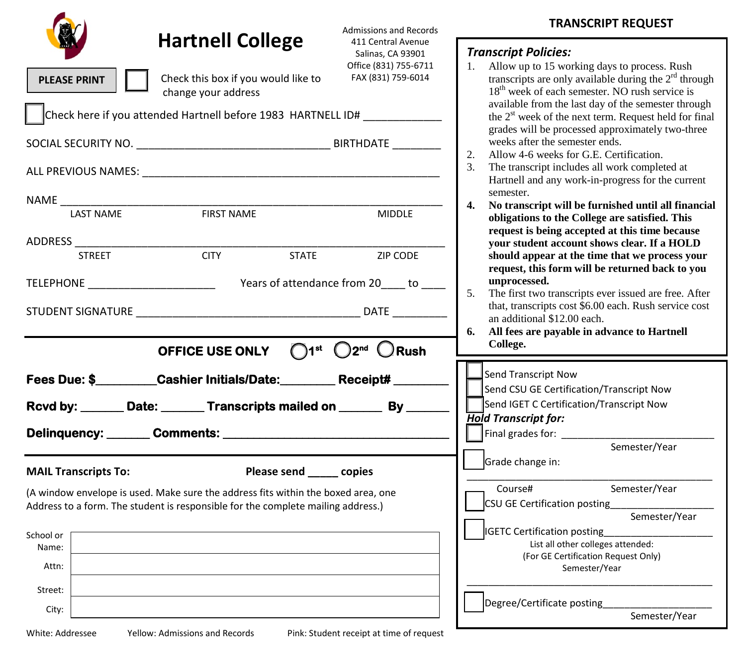|                                                                                                                                                                                                                                                                             |                                                                                        | <b>Admissions and Records</b>                                                          | <b>TRANSCRIPT REQUEST</b>                                                                                                                                                                                                                                                                                                                                                                                                                                                                                                                                           |  |
|-----------------------------------------------------------------------------------------------------------------------------------------------------------------------------------------------------------------------------------------------------------------------------|----------------------------------------------------------------------------------------|----------------------------------------------------------------------------------------|---------------------------------------------------------------------------------------------------------------------------------------------------------------------------------------------------------------------------------------------------------------------------------------------------------------------------------------------------------------------------------------------------------------------------------------------------------------------------------------------------------------------------------------------------------------------|--|
| <b>PLEASE PRINT</b>                                                                                                                                                                                                                                                         | <b>Hartnell College</b><br>Check this box if you would like to<br>change your address  | 411 Central Avenue<br>Salinas, CA 93901<br>Office (831) 755-6711<br>FAX (831) 759-6014 | <b>Transcript Policies:</b><br>Allow up to 15 working days to process. Rush<br>1.<br>transcripts are only available during the $2rd$ through<br>18 <sup>th</sup> week of each semester. NO rush service is<br>available from the last day of the semester through                                                                                                                                                                                                                                                                                                   |  |
| Check here if you attended Hartnell before 1983 HARTNELL ID# _______________                                                                                                                                                                                                |                                                                                        |                                                                                        | the $2st$ week of the next term. Request held for final<br>grades will be processed approximately two-three<br>weeks after the semester ends.<br>$\overline{2}$ .<br>Allow 4-6 weeks for G.E. Certification.<br>3.<br>The transcript includes all work completed at<br>Hartnell and any work-in-progress for the current<br>semester.                                                                                                                                                                                                                               |  |
| NAME<br><b>LAST NAME</b>                                                                                                                                                                                                                                                    | <b>FIRST NAME</b>                                                                      | <b>MIDDLE</b>                                                                          | $\mathbf{4}$<br>No transcript will be furnished until all financial<br>obligations to the College are satisfied. This<br>request is being accepted at this time because<br>your student account shows clear. If a HOLD<br>should appear at the time that we process your<br>request, this form will be returned back to you<br>unprocessed.<br>5.<br>The first two transcripts ever issued are free. After<br>that, transcripts cost \$6.00 each. Rush service cost<br>an additional \$12.00 each.<br>6.<br>All fees are payable in advance to Hartnell<br>College. |  |
| <b>STREET</b>                                                                                                                                                                                                                                                               | <b>CITY</b><br><b>STATE</b><br>OFFICE USE ONLY ◯1 <sup>st</sup> ◯2 <sup>nd</sup> ◯Rush | ZIP CODE                                                                               |                                                                                                                                                                                                                                                                                                                                                                                                                                                                                                                                                                     |  |
| Fees Due: \$________Cashier Initials/Date: _________ Receipt# _____<br>Rcvd by: _______ Date: _______ Transcripts mailed on _______ By ______                                                                                                                               |                                                                                        |                                                                                        | Send Transcript Now<br>Send CSU GE Certification/Transcript Now<br>Send IGET C Certification/Transcript Now<br><b>Hold Transcript for:</b><br>Final grades for: __________<br>Semester/Year<br>Grade change in:<br>Semester/Year<br>Course#<br>CSU GE Certification posting__<br>Semester/Year<br>IGETC Certification posting<br>List all other colleges attended:<br>(For GE Certification Request Only)<br>Semester/Year<br>Degree/Certificate posting                                                                                                            |  |
| Please send ______ copies<br><b>MAIL Transcripts To:</b><br>(A window envelope is used. Make sure the address fits within the boxed area, one<br>Address to a form. The student is responsible for the complete mailing address.)<br>School or<br>Name:<br>Attn:<br>Street: |                                                                                        |                                                                                        |                                                                                                                                                                                                                                                                                                                                                                                                                                                                                                                                                                     |  |
| City:                                                                                                                                                                                                                                                                       |                                                                                        |                                                                                        | Semester/Year                                                                                                                                                                                                                                                                                                                                                                                                                                                                                                                                                       |  |